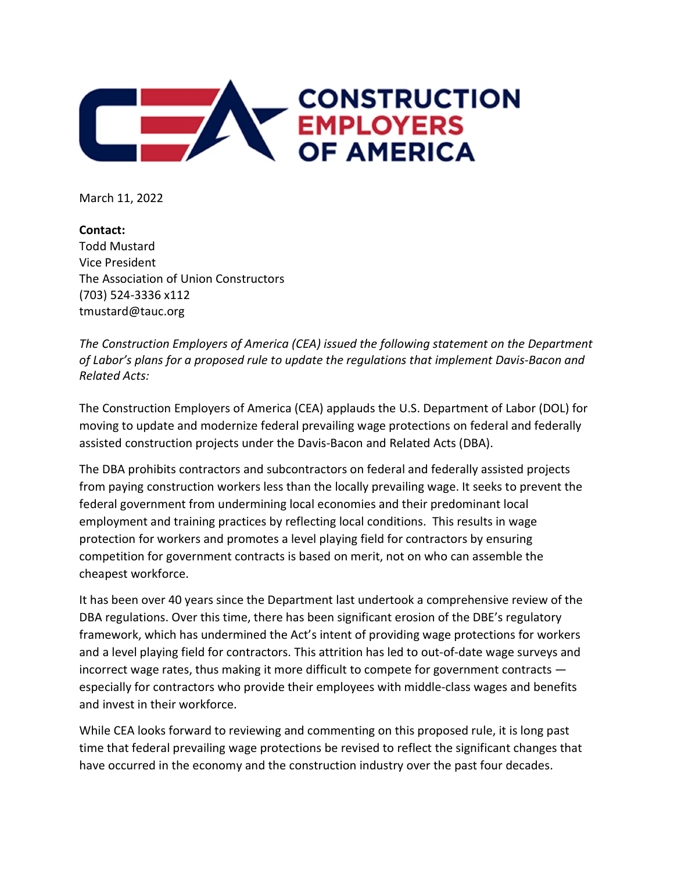

March 11, 2022

Contact: Todd Mustard Vice President The Association of Union Constructors (703) 524-3336 x112 tmustard@tauc.org

The Construction Employers of America (CEA) issued the following statement on the Department of Labor's plans for a proposed rule to update the regulations that implement Davis-Bacon and Related Acts:

The Construction Employers of America (CEA) applauds the U.S. Department of Labor (DOL) for moving to update and modernize federal prevailing wage protections on federal and federally assisted construction projects under the Davis-Bacon and Related Acts (DBA).

The DBA prohibits contractors and subcontractors on federal and federally assisted projects from paying construction workers less than the locally prevailing wage. It seeks to prevent the federal government from undermining local economies and their predominant local employment and training practices by reflecting local conditions. This results in wage protection for workers and promotes a level playing field for contractors by ensuring competition for government contracts is based on merit, not on who can assemble the cheapest workforce.

It has been over 40 years since the Department last undertook a comprehensive review of the DBA regulations. Over this time, there has been significant erosion of the DBE's regulatory framework, which has undermined the Act's intent of providing wage protections for workers and a level playing field for contractors. This attrition has led to out-of-date wage surveys and incorrect wage rates, thus making it more difficult to compete for government contracts especially for contractors who provide their employees with middle-class wages and benefits and invest in their workforce.

While CEA looks forward to reviewing and commenting on this proposed rule, it is long past time that federal prevailing wage protections be revised to reflect the significant changes that have occurred in the economy and the construction industry over the past four decades.